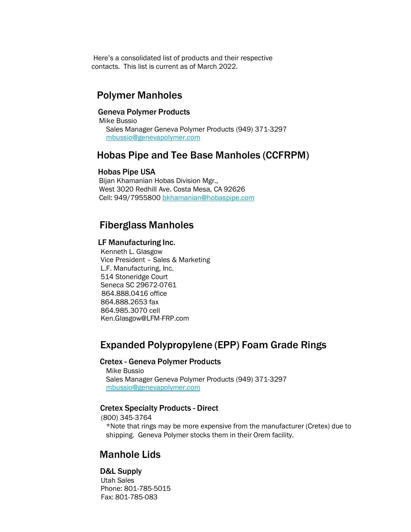Here's a consolidated list of products and their respective contacts. This list is current as of March 2022.

# Polymer Manholes

## Geneva Polymer Products

 Mike Bussio Sales Manager Geneva Polymer Products (949) 371-3297 [mbussio@genevapolymer.com](mailto:mbussio@genevapolymer.com)

# Hobas Pipe and Tee Base Manholes (CCFRPM)

#### Hobas Pipe USA

 Bijan Khamanian Hobas Division Mgr., West 3020 Redhill Ave. Costa Mesa, CA 92626 Cell: 949/7955800 [bkhamanian@hobaspipe.co](mailto:bkhamanian@hobaspipe.com)m

## Fiberglass Manholes

#### LF Manufacturing Inc.

Kenneth L. Glasgow Vice President – Sales & Marketing L.F. Manufacturing, Inc. 514 Stoneridge Court Seneca SC 29672-0761 864.888.0416 office 864.888.2653 fax 864.985.3070 cell [Ken.Glasgow@LFM-FRP.com](mailto:Glasgow@LFM-FRP.com)

# Expanded Polypropylene (EPP) Foam Grade Rings

## Cretex - Geneva Polymer Products

Mike Bussio Sales Manager Geneva Polymer Products (949) 371-3297 [mbussio@genevapolymer.com](mailto:mbussio@genevapolymer.com)

## Cretex Specialty Products - Direct

(800) 345-3764 \*Note that rings may be more expensive from the manufacturer (Cretex) due to shipping. Geneva Polymer stocks them in their Orem facility.

## Manhole Lids

#### D&L Supply

 Utah Sales Phone: 801-785-5015 Fax: 801-785-083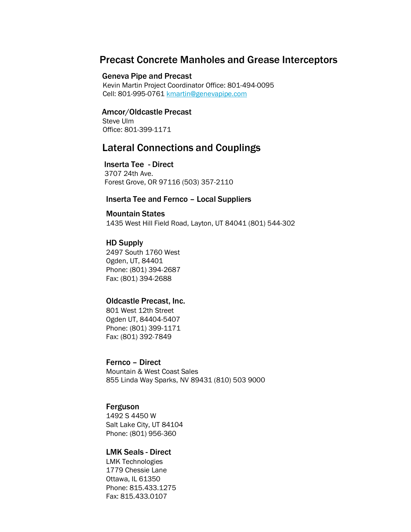## Precast Concrete Manholes and Grease Interceptors

## Geneva Pipe and Precast

 Kevin Martin Project Coordinator Office: 801-494-0095 Cell: 801-995-0761 [kmartin@genevapipe.com](mailto:kmartin@genevapipe.com)

## Amcor/Oldcastle Precast

 Steve Ulm Office: 801-399-1171

# Lateral Connections and Couplings

## Inserta Tee - Direct

 3707 24th Ave. Forest Grove, OR 97116 (503) 357-2110

## Inserta Tee and Fernco – Local Suppliers

## Mountain States

1435 West Hill Field Road, Layton, UT 84041 (801) 544-302

## HD Supply

2497 South 1760 West Ogden, UT, 84401 Phone: (801) 394-2687 Fax: (801) 394-2688

#### Oldcastle Precast, Inc.

801 West 12th Street Ogden UT, 84404-5407 Phone: (801) 399-1171 Fax: (801) 392-7849

## Fernco – Direct Mountain & West Coast Sales

855 Linda Way Sparks, NV 89431 (810) 503 9000

## Ferguson

1492 S 4450 W Salt Lake City, UT 84104 Phone: (801) 956-360

## LMK Seals - Direct

LMK Technologies 1779 Chessie Lane Ottawa, IL 61350 Phone: 815.433.1275 Fax: 815.433.0107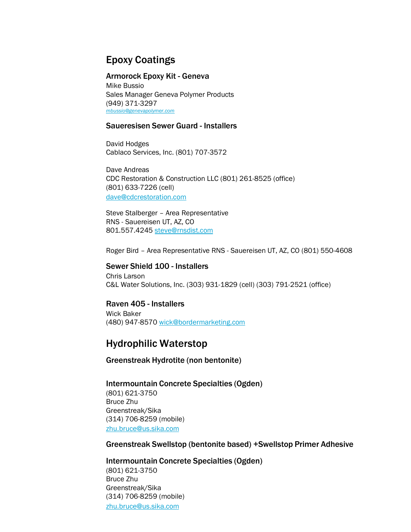# Epoxy Coatings

#### Armorock Epoxy Kit - Geneva

Mike Bussio Sales Manager Geneva Polymer Products (949) 371-3297 *[mbussio@genevapolymer.com](mailto:mbussio@genevapolymer.com)*

## Saueresisen Sewer Guard - Installers

David Hodges Cablaco Services, Inc. (801) 707-3572

Dave Andreas CDC Restoration & Construction LLC (801) 261-8525 (office) (801) 633-7226 (cell) [dave@cdcrestoration.com](mailto:dave@cdcrestoration.com)

Steve Stalberger – Area Representative RNS - Sauereisen UT, AZ, CO 801.557.4245 [steve@rnsdist.com](mailto:steve@rnsdist.com)

Roger Bird – Area Representative RNS - Sauereisen UT, AZ, CO (801) 550-4608

Sewer Shield 100 - Installers Chris Larson C&L Water Solutions, Inc. (303) 931-1829 (cell) (303) 791-2521 (office)

Raven 405 - Installers Wick Baker (480) 947-8570 [wick@bordermarketing.com](mailto:wick@bordermarketing.com)

## Hydrophilic Waterstop

Greenstreak Hydrotite (non bentonite)

Intermountain Concrete Specialties (Ogden) (801) 621-3750 Bruce Zhu Greenstreak/Sika (314) 706-8259 (mobile) [zhu.bruce@us.sika.com](mailto:zhu.bruce@us.sika.com)

Greenstreak Swellstop (bentonite based) +Swellstop Primer Adhesive

Intermountain Concrete Specialties (Ogden) (801) 621-3750 Bruce Zhu Greenstreak/Sika (314) 706-8259 (mobile) [zhu.bruce@us.sika.com](mailto:zhu.bruce@us.sika.com)